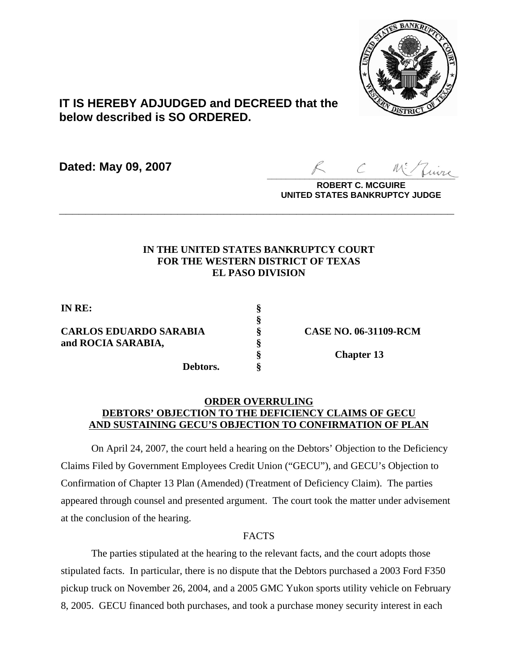

# **IT IS HEREBY ADJUDGED and DECREED that the below described is SO ORDERED.**

**Dated: May 09, 2007**

 $\sim$  more

**ROBERT C. MCGUIRE UNITED STATES BANKRUPTCY JUDGE**

### **IN THE UNITED STATES BANKRUPTCY COURT FOR THE WESTERN DISTRICT OF TEXAS EL PASO DIVISION**

**\_\_\_\_\_\_\_\_\_\_\_\_\_\_\_\_\_\_\_\_\_\_\_\_\_\_\_\_\_\_\_\_\_\_\_\_\_\_\_\_\_\_\_\_\_\_\_\_\_\_\_\_\_\_\_\_\_\_\_\_**

**§**

**IN RE: §**

## **CARLOS EDUARDO SARABIA § CASE NO. 06-31109-RCM and ROCIA SARABIA, §**

**Debtors. §**

**§ Chapter 13**

### **ORDER OVERRULING DEBTORS' OBJECTION TO THE DEFICIENCY CLAIMS OF GECU AND SUSTAINING GECU'S OBJECTION TO CONFIRMATION OF PLAN**

On April 24, 2007, the court held a hearing on the Debtors' Objection to the Deficiency Claims Filed by Government Employees Credit Union ("GECU"), and GECU's Objection to Confirmation of Chapter 13 Plan (Amended) (Treatment of Deficiency Claim). The parties appeared through counsel and presented argument. The court took the matter under advisement at the conclusion of the hearing.

# FACTS

The parties stipulated at the hearing to the relevant facts, and the court adopts those stipulated facts. In particular, there is no dispute that the Debtors purchased a 2003 Ford F350 pickup truck on November 26, 2004, and a 2005 GMC Yukon sports utility vehicle on February 8, 2005. GECU financed both purchases, and took a purchase money security interest in each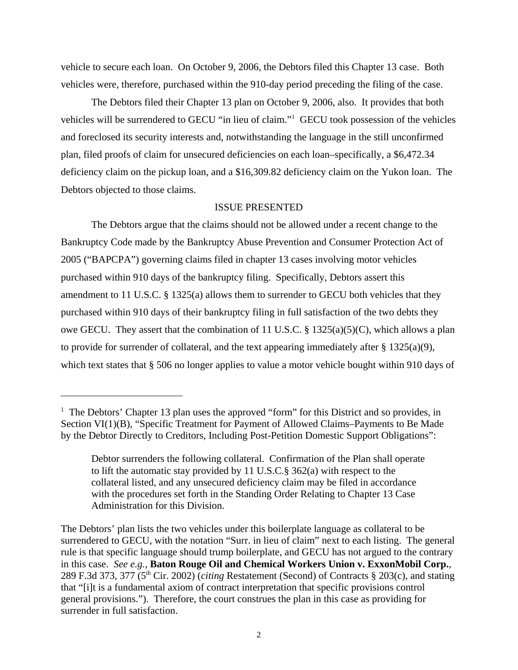vehicle to secure each loan. On October 9, 2006, the Debtors filed this Chapter 13 case. Both vehicles were, therefore, purchased within the 910-day period preceding the filing of the case.

The Debtors filed their Chapter 13 plan on October 9, 2006, also. It provides that both vehicles will be surrendered to GECU "in lieu of claim."1 GECU took possession of the vehicles and foreclosed its security interests and, notwithstanding the language in the still unconfirmed plan, filed proofs of claim for unsecured deficiencies on each loan–specifically, a \$6,472.34 deficiency claim on the pickup loan, and a \$16,309.82 deficiency claim on the Yukon loan. The Debtors objected to those claims.

#### ISSUE PRESENTED

The Debtors argue that the claims should not be allowed under a recent change to the Bankruptcy Code made by the Bankruptcy Abuse Prevention and Consumer Protection Act of 2005 ("BAPCPA") governing claims filed in chapter 13 cases involving motor vehicles purchased within 910 days of the bankruptcy filing. Specifically, Debtors assert this amendment to 11 U.S.C. § 1325(a) allows them to surrender to GECU both vehicles that they purchased within 910 days of their bankruptcy filing in full satisfaction of the two debts they owe GECU. They assert that the combination of 11 U.S.C. § 1325(a)(5)(C), which allows a plan to provide for surrender of collateral, and the text appearing immediately after  $\S 1325(a)(9)$ , which text states that § 506 no longer applies to value a motor vehicle bought within 910 days of

<sup>&</sup>lt;sup>1</sup> The Debtors' Chapter 13 plan uses the approved "form" for this District and so provides, in Section VI(1)(B), "Specific Treatment for Payment of Allowed Claims–Payments to Be Made by the Debtor Directly to Creditors, Including Post-Petition Domestic Support Obligations":

Debtor surrenders the following collateral. Confirmation of the Plan shall operate to lift the automatic stay provided by 11 U.S.C.§ 362(a) with respect to the collateral listed, and any unsecured deficiency claim may be filed in accordance with the procedures set forth in the Standing Order Relating to Chapter 13 Case Administration for this Division.

The Debtors' plan lists the two vehicles under this boilerplate language as collateral to be surrendered to GECU, with the notation "Surr. in lieu of claim" next to each listing. The general rule is that specific language should trump boilerplate, and GECU has not argued to the contrary in this case. *See e.g.,* **Baton Rouge Oil and Chemical Workers Union v. ExxonMobil Corp.**, 289 F.3d 373, 377 (5th Cir. 2002) (*citing* Restatement (Second) of Contracts § 203(c), and stating that "[i]t is a fundamental axiom of contract interpretation that specific provisions control general provisions."). Therefore, the court construes the plan in this case as providing for surrender in full satisfaction.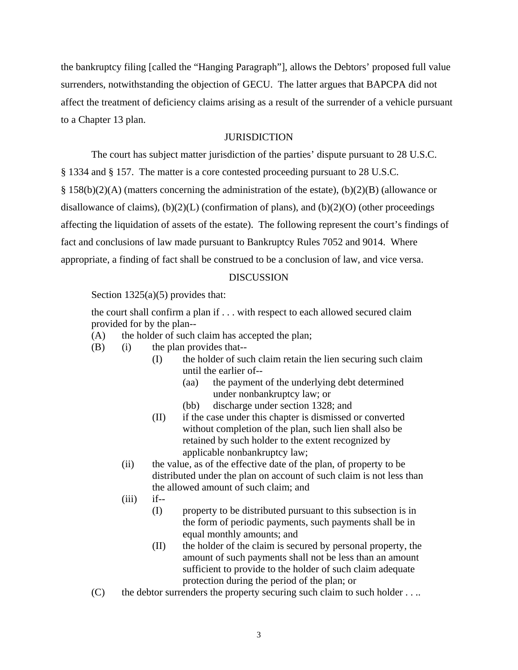the bankruptcy filing [called the "Hanging Paragraph"], allows the Debtors' proposed full value surrenders, notwithstanding the objection of GECU. The latter argues that BAPCPA did not affect the treatment of deficiency claims arising as a result of the surrender of a vehicle pursuant to a Chapter 13 plan.

#### **JURISDICTION**

The court has subject matter jurisdiction of the parties' dispute pursuant to 28 U.S.C. § 1334 and § 157. The matter is a core contested proceeding pursuant to 28 U.S.C.  $\S 158(b)(2)(A)$  (matters concerning the administration of the estate), (b)(2)(B) (allowance or disallowance of claims),  $(b)(2)(L)$  (confirmation of plans), and  $(b)(2)(O)$  (other proceedings affecting the liquidation of assets of the estate). The following represent the court's findings of fact and conclusions of law made pursuant to Bankruptcy Rules 7052 and 9014. Where appropriate, a finding of fact shall be construed to be a conclusion of law, and vice versa.

#### **DISCUSSION**

Section 1325(a)(5) provides that:

the court shall confirm a plan if . . . with respect to each allowed secured claim provided for by the plan--

- (A) the holder of such claim has accepted the plan;
- (B) (i) the plan provides that--
	- (I) the holder of such claim retain the lien securing such claim until the earlier of--
		- (aa) the payment of the underlying debt determined under nonbankruptcy law; or
		- (bb) discharge under section 1328; and
	- (II) if the case under this chapter is dismissed or converted without completion of the plan, such lien shall also be retained by such holder to the extent recognized by applicable nonbankruptcy law;
	- (ii) the value, as of the effective date of the plan, of property to be distributed under the plan on account of such claim is not less than the allowed amount of such claim; and
	- $(iii)$  if--
		- (I) property to be distributed pursuant to this subsection is in the form of periodic payments, such payments shall be in equal monthly amounts; and
		- (II) the holder of the claim is secured by personal property, the amount of such payments shall not be less than an amount sufficient to provide to the holder of such claim adequate protection during the period of the plan; or
- $(C)$  the debtor surrenders the property securing such claim to such holder . . ..